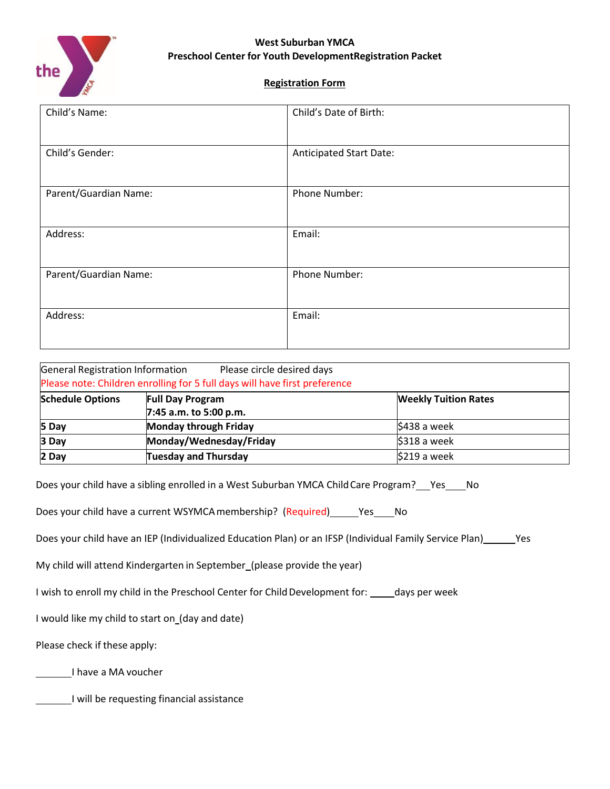

### **Registration Form**

| Child's Name:         | Child's Date of Birth:         |
|-----------------------|--------------------------------|
| Child's Gender:       | <b>Anticipated Start Date:</b> |
| Parent/Guardian Name: | Phone Number:                  |
| Address:              | Email:                         |
| Parent/Guardian Name: | Phone Number:                  |
| Address:              | Email:                         |

| General Registration Information | Please circle desired days<br>Please note: Children enrolling for 5 full days will have first preference |                             |
|----------------------------------|----------------------------------------------------------------------------------------------------------|-----------------------------|
| <b>Schedule Options</b>          | <b>Full Day Program</b>                                                                                  | <b>Weekly Tuition Rates</b> |
| 5 Day                            | 7:45 a.m. to 5:00 p.m.<br><b>Monday through Friday</b>                                                   | \$438 a week                |
| 3 Day                            | Monday/Wednesday/Friday                                                                                  | \$318 a week                |
| 2 Day                            | <b>Tuesday and Thursday</b>                                                                              | \$219 a week                |

Does your child have a sibling enrolled in a West Suburban YMCA Child Care Program? \_\_ Yes \_\_\_ No

Does your child have a current WSYMCA membership? (Required) \_\_\_\_\_ Yes \_\_\_\_ No

Does your child have an IEP (Individualized Education Plan) or an IFSP (Individual Family Service Plan) \_\_ Yes

My child will attend Kindergarten in September (please provide the year)

I wish to enroll my child in the Preschool Center for Child Development for: \_\_\_\_\_ days per week

I would like my child to start on\_(day and date)

Please check if these apply:

I have a MA voucher

I will be requesting financial assistance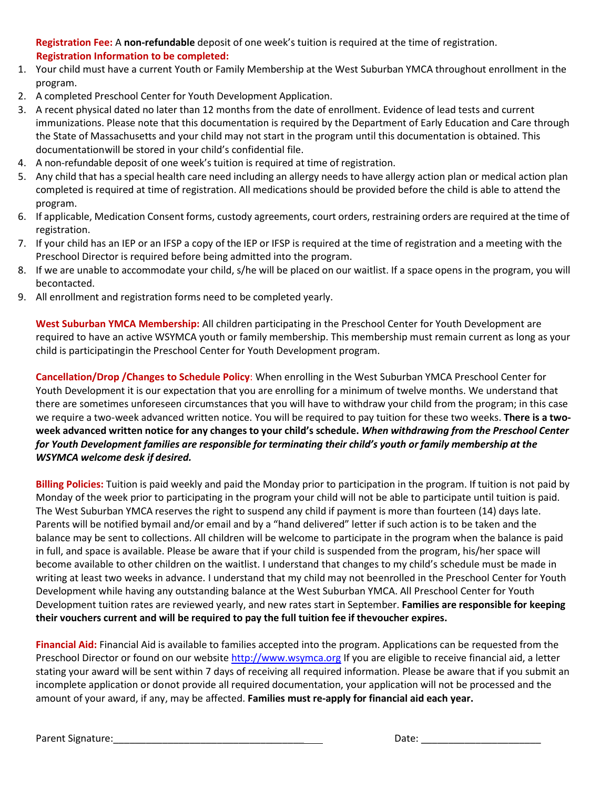**Registration Fee:** A **non-refundable** deposit of one week's tuition is required at the time of registration. **Registration Information to be completed:**

- 1. Your child must have a current Youth or Family Membership at the West Suburban YMCA throughout enrollment in the program.
- 2. A completed Preschool Center for Youth Development Application.
- 3. A recent physical dated no later than 12 months from the date of enrollment. Evidence of lead tests and current immunizations. Please note that this documentation is required by the Department of Early Education and Care through the State of Massachusetts and your child may not start in the program until this documentation is obtained. This documentationwill be stored in your child's confidential file.
- 4. A non-refundable deposit of one week's tuition is required at time of registration.
- 5. Any child that has a special health care need including an allergy needs to have allergy action plan or medical action plan completed is required at time of registration. All medications should be provided before the child is able to attend the program.
- 6. If applicable, Medication Consent forms, custody agreements, court orders, restraining orders are required at the time of registration.
- 7. If your child has an IEP or an IFSP a copy of the IEP or IFSP is required at the time of registration and a meeting with the Preschool Director is required before being admitted into the program.
- 8. If we are unable to accommodate your child, s/he will be placed on our waitlist. If a space opens in the program, you will becontacted.
- 9. All enrollment and registration forms need to be completed yearly.

**West Suburban YMCA Membership:** All children participating in the Preschool Center for Youth Development are required to have an active WSYMCA youth or family membership. This membership must remain current as long as your child is participatingin the Preschool Center for Youth Development program.

**Cancellation/Drop /Changes to Schedule Policy**: When enrolling in the West Suburban YMCA Preschool Center for Youth Development it is our expectation that you are enrolling for a minimum of twelve months. We understand that there are sometimes unforeseen circumstances that you will have to withdraw your child from the program; in this case we require a two-week advanced written notice. You will be required to pay tuition for these two weeks. **There is a two**week advanced written notice for any changes to your child's schedule. When withdrawing from the Preschool Center *for Youth Development families are responsible for terminating their child's youth or family membership at the WSYMCA welcome desk if desired.*

**Billing Policies:** Tuition is paid weekly and paid the Monday prior to participation in the program. If tuition is not paid by Monday of the week prior to participating in the program your child will not be able to participate until tuition is paid. The West Suburban YMCA reserves the right to suspend any child if payment is more than fourteen (14) days late. Parents will be notified bymail and/or email and by a "hand delivered" letter if such action is to be taken and the balance may be sent to collections. All children will be welcome to participate in the program when the balance is paid in full, and space is available. Please be aware that if your child is suspended from the program, his/her space will become available to other children on the waitlist. I understand that changes to my child's schedule must be made in writing at least two weeks in advance. I understand that my child may not beenrolled in the Preschool Center for Youth Development while having any outstanding balance at the West Suburban YMCA. All Preschool Center for Youth Development tuition rates are reviewed yearly, and new rates start in September. **Families are responsible for keeping their vouchers current and will be required to pay the full tuition fee if thevoucher expires.**

**Financial Aid:** Financial Aid is available to families accepted into the program. Applications can be requested from the Preschool Director or found on our website [http://www.wsymca.org](http://www.wsymca.org/) If you are eligible to receive financial aid, a letter stating your award will be sent within 7 days of receiving all required information. Please be aware that if you submit an incomplete application or donot provide all required documentation, your application will not be processed and the amount of your award, if any, may be affected. **Families must re-apply for financial aid each year.**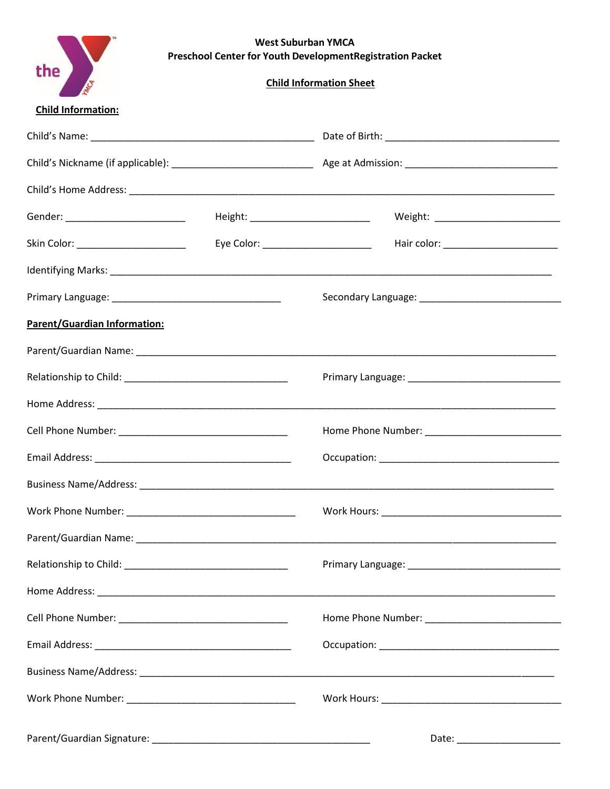| <b>West Suburban YMCA</b>                                         |
|-------------------------------------------------------------------|
| <b>Preschool Center for Youth Development Registration Packet</b> |

**Child Information Sheet** 

| <b>Child Information:</b> |
|---------------------------|
|                           |

the  $\sum_{s}$ 

| Gender: __________________________  |                                      | Weight: ____________________________ |
|-------------------------------------|--------------------------------------|--------------------------------------|
| Skin Color: _______________________ | Eye Color: _________________________ | Hair color: ________________________ |
|                                     |                                      |                                      |
|                                     |                                      |                                      |
| Parent/Guardian Information:        |                                      |                                      |
|                                     |                                      |                                      |
|                                     |                                      |                                      |
|                                     |                                      |                                      |
|                                     |                                      |                                      |
|                                     |                                      |                                      |
|                                     |                                      |                                      |
|                                     |                                      |                                      |
|                                     |                                      |                                      |
| Relationship to Child: _            |                                      | Primary Language: _                  |
|                                     |                                      |                                      |
|                                     |                                      |                                      |
|                                     |                                      |                                      |
|                                     |                                      |                                      |
|                                     |                                      |                                      |
|                                     |                                      |                                      |
|                                     |                                      |                                      |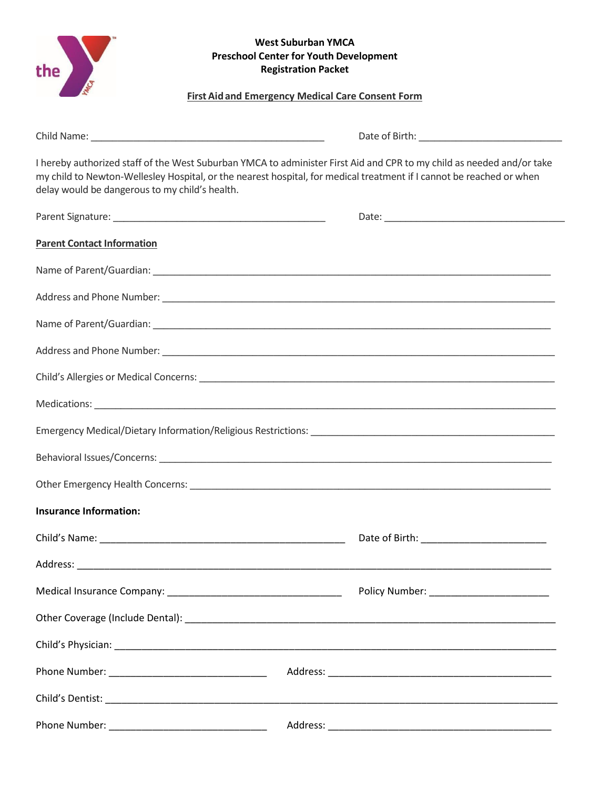| <b>West Suburban YMCA</b><br>the<br><b>Preschool Center for Youth Development</b><br><b>Registration Packet</b><br><b>First Aid and Emergency Medical Care Consent Form</b> |                                                                                                                                                                                                                                               |  |  |
|-----------------------------------------------------------------------------------------------------------------------------------------------------------------------------|-----------------------------------------------------------------------------------------------------------------------------------------------------------------------------------------------------------------------------------------------|--|--|
|                                                                                                                                                                             |                                                                                                                                                                                                                                               |  |  |
| delay would be dangerous to my child's health.                                                                                                                              | I hereby authorized staff of the West Suburban YMCA to administer First Aid and CPR to my child as needed and/or take<br>my child to Newton-Wellesley Hospital, or the nearest hospital, for medical treatment if I cannot be reached or when |  |  |
|                                                                                                                                                                             |                                                                                                                                                                                                                                               |  |  |
| <b>Parent Contact Information</b>                                                                                                                                           |                                                                                                                                                                                                                                               |  |  |
|                                                                                                                                                                             |                                                                                                                                                                                                                                               |  |  |
|                                                                                                                                                                             |                                                                                                                                                                                                                                               |  |  |
|                                                                                                                                                                             |                                                                                                                                                                                                                                               |  |  |
|                                                                                                                                                                             |                                                                                                                                                                                                                                               |  |  |
|                                                                                                                                                                             |                                                                                                                                                                                                                                               |  |  |
|                                                                                                                                                                             |                                                                                                                                                                                                                                               |  |  |
|                                                                                                                                                                             |                                                                                                                                                                                                                                               |  |  |
|                                                                                                                                                                             |                                                                                                                                                                                                                                               |  |  |
|                                                                                                                                                                             |                                                                                                                                                                                                                                               |  |  |
| <b>Insurance Information:</b>                                                                                                                                               |                                                                                                                                                                                                                                               |  |  |
|                                                                                                                                                                             |                                                                                                                                                                                                                                               |  |  |
|                                                                                                                                                                             |                                                                                                                                                                                                                                               |  |  |
|                                                                                                                                                                             |                                                                                                                                                                                                                                               |  |  |
|                                                                                                                                                                             |                                                                                                                                                                                                                                               |  |  |
|                                                                                                                                                                             |                                                                                                                                                                                                                                               |  |  |
|                                                                                                                                                                             |                                                                                                                                                                                                                                               |  |  |
|                                                                                                                                                                             |                                                                                                                                                                                                                                               |  |  |
|                                                                                                                                                                             |                                                                                                                                                                                                                                               |  |  |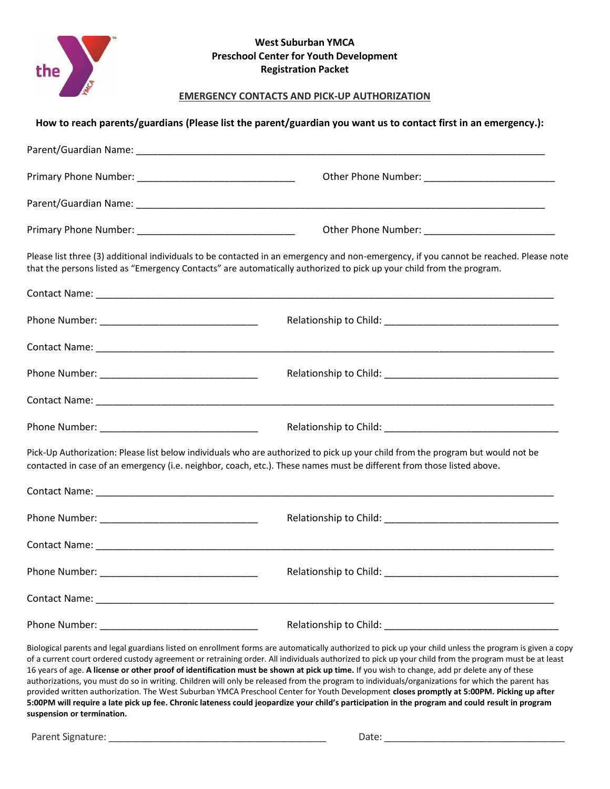

### **EMERGENCY CONTACTS AND PICK-UP AUTHORIZATION**

| Please list three (3) additional individuals to be contacted in an emergency and non-emergency, if you cannot be reached. Please note<br>that the persons listed as "Emergency Contacts" are automatically authorized to pick up your child from the program.                                                                                                                                                                                                   |
|-----------------------------------------------------------------------------------------------------------------------------------------------------------------------------------------------------------------------------------------------------------------------------------------------------------------------------------------------------------------------------------------------------------------------------------------------------------------|
|                                                                                                                                                                                                                                                                                                                                                                                                                                                                 |
|                                                                                                                                                                                                                                                                                                                                                                                                                                                                 |
|                                                                                                                                                                                                                                                                                                                                                                                                                                                                 |
|                                                                                                                                                                                                                                                                                                                                                                                                                                                                 |
|                                                                                                                                                                                                                                                                                                                                                                                                                                                                 |
|                                                                                                                                                                                                                                                                                                                                                                                                                                                                 |
| Pick-Up Authorization: Please list below individuals who are authorized to pick up your child from the program but would not be<br>contacted in case of an emergency (i.e. neighbor, coach, etc.). These names must be different from those listed above.                                                                                                                                                                                                       |
|                                                                                                                                                                                                                                                                                                                                                                                                                                                                 |
|                                                                                                                                                                                                                                                                                                                                                                                                                                                                 |
|                                                                                                                                                                                                                                                                                                                                                                                                                                                                 |
|                                                                                                                                                                                                                                                                                                                                                                                                                                                                 |
|                                                                                                                                                                                                                                                                                                                                                                                                                                                                 |
|                                                                                                                                                                                                                                                                                                                                                                                                                                                                 |
| Biological parents and legal guardians listed on enrollment forms are automatically authorized to pick up your child unless the program is given a copy<br>of a current court ordered custody agreement or retraining order. All individuals authorized to pick up your child from the program must be at least<br>16 years of age. A license or other proof of identification must be shown at pick up time. If you wish to change, add pr delete any of these |

authorizations, you must do so in writing. Children will only be released from the program to individuals/organizations for which the parent has provided written authorization. The West Suburban YMCA Preschool Center for Youth Development **closes promptly at 5:00PM. Picking up after 5:00PM will require a late pick up fee. Chronic lateness could jeopardize your child's participation in the program and could result in program suspension or termination.**

Parent Signature: \_\_\_\_\_\_\_\_\_\_\_\_\_\_\_\_\_\_\_\_\_\_\_\_\_\_\_\_\_\_\_\_\_\_\_\_\_\_\_\_\_ Date: \_\_\_\_\_\_\_\_\_\_\_\_\_\_\_\_\_\_\_\_\_\_\_\_\_\_\_\_\_\_\_\_\_\_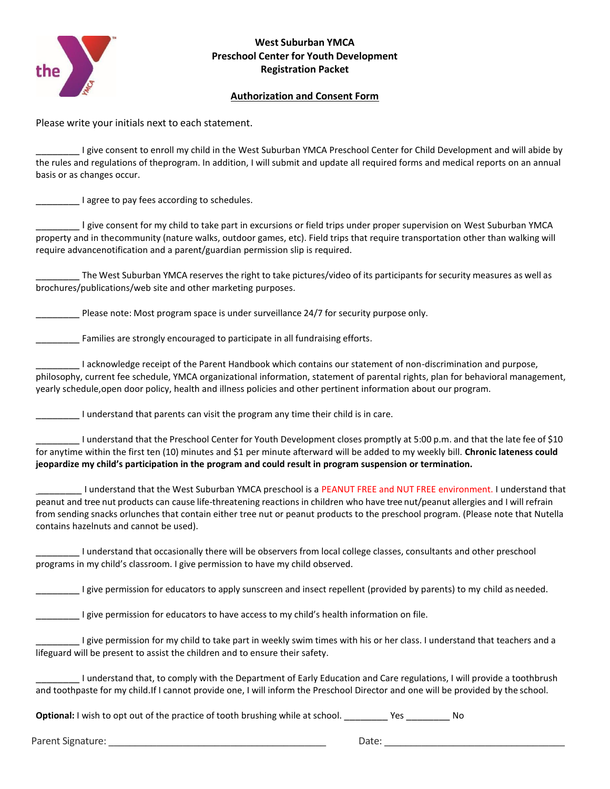

# **Authorization and Consent Form**

Please write your initials next to each statement.

I give consent to enroll my child in the West Suburban YMCA Preschool Center for Child Development and will abide by the rules and regulations of theprogram. In addition, I will submit and update all required forms and medical reports on an annual basis or as changes occur.

\_\_\_\_\_\_\_\_ I agree to pay fees according to schedules.

\_\_\_\_\_\_\_\_ I give consent for my child to take part in excursions or field trips under proper supervision on West Suburban YMCA property and in the community (nature walks, outdoor games, etc). Field trips that require transportation other than walking will require advancenotification and a parent/guardian permission slip is required.

The West Suburban YMCA reserves the right to take pictures/video of its participants for security measures as well as brochures/publications/web site and other marketing purposes.

Please note: Most program space is under surveillance 24/7 for security purpose only.

**\_\_\_\_\_\_\_\_** Families are strongly encouraged to participate in all fundraising efforts.

\_\_\_\_\_\_\_\_ I acknowledge receipt of the Parent Handbook which contains our statement of non-discrimination and purpose, philosophy, current fee schedule, YMCA organizational information, statement of parental rights, plan for behavioral management, yearly schedule,open door policy, health and illness policies and other pertinent information about our program.

\_\_\_\_\_\_\_\_ I understand that parents can visit the program any time their child is in care.

I understand that the Preschool Center for Youth Development closes promptly at 5:00 p.m. and that the late fee of \$10 for anytime within the first ten (10) minutes and \$1 per minute afterward will be added to my weekly bill. **Chronic lateness could jeopardize my child's participation in the program and could result in program suspension or termination.**

Lunderstand that the West Suburban YMCA preschool is a PEANUT FREE and NUT FREE environment. I understand that peanut and tree nut products can cause life-threatening reactions in children who have tree nut/peanut allergies and I will refrain from sending snacks orlunches that contain either tree nut or peanut products to the preschool program. (Please note that Nutella contains hazelnuts and cannot be used).

\_\_\_\_\_\_\_\_ I understand that occasionally there will be observers from local college classes, consultants and other preschool programs in my child's classroom. I give permission to have my child observed.

\_\_\_\_\_\_\_\_ I give permission for educators to apply sunscreen and insect repellent (provided by parents) to my child as needed.

I give permission for educators to have access to my child's health information on file.

I give permission for my child to take part in weekly swim times with his or her class. I understand that teachers and a lifeguard will be present to assist the children and to ensure their safety.

\_\_\_\_\_\_\_\_ I understand that, to comply with the Department of Early Education and Care regulations, I will provide a toothbrush and toothpaste for my child.If I cannot provide one, I will inform the Preschool Director and one will be provided by the school.

**Optional:** I wish to opt out of the practice of tooth brushing while at school. \_\_\_\_\_\_\_\_\_\_ Yes \_\_\_\_\_\_\_\_\_ No

Parent Signature: etc. and the state of the state of the state of the Date:  $\Box$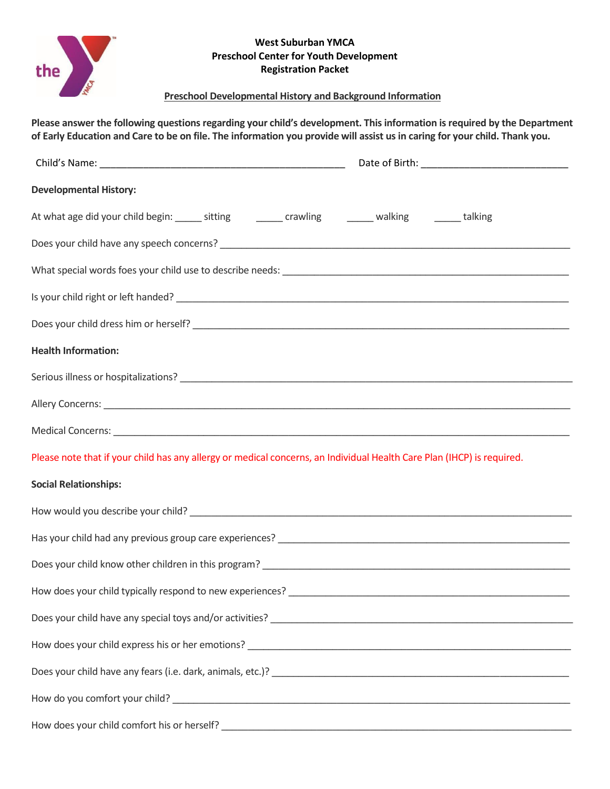

# **Preschool Developmental History and Background Information**

**Please answer the following questions regarding your child's development. This information is required by the Department of Early Education and Care to be on file. The information you provide will assist us in caring for your child. Thank you.**

| <b>Developmental History:</b>                                                                                          |  |
|------------------------------------------------------------------------------------------------------------------------|--|
| At what age did your child begin: _______ sitting __________ crawling _________ walking _________ talking              |  |
|                                                                                                                        |  |
|                                                                                                                        |  |
|                                                                                                                        |  |
|                                                                                                                        |  |
| <b>Health Information:</b>                                                                                             |  |
|                                                                                                                        |  |
|                                                                                                                        |  |
|                                                                                                                        |  |
| Please note that if your child has any allergy or medical concerns, an Individual Health Care Plan (IHCP) is required. |  |
| <b>Social Relationships:</b>                                                                                           |  |
|                                                                                                                        |  |
|                                                                                                                        |  |
|                                                                                                                        |  |
|                                                                                                                        |  |
|                                                                                                                        |  |
|                                                                                                                        |  |
|                                                                                                                        |  |
|                                                                                                                        |  |
|                                                                                                                        |  |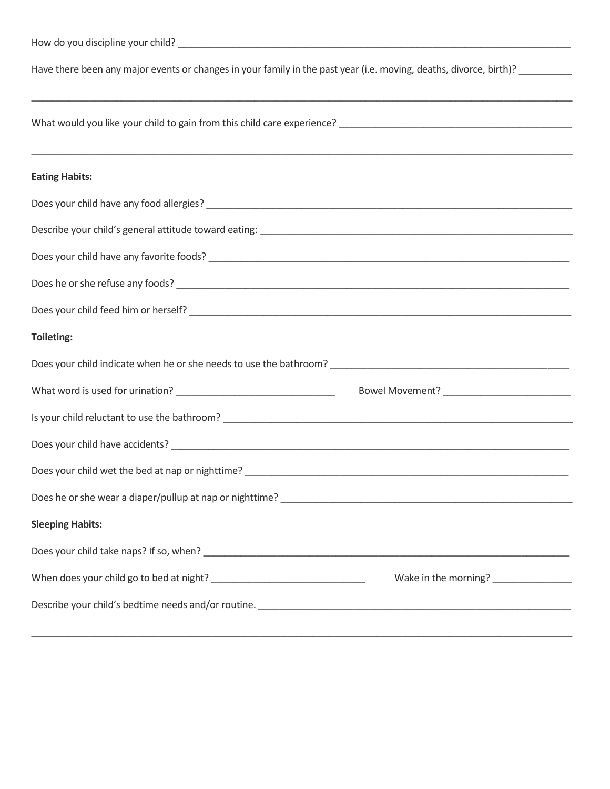| Have there been any major events or changes in your family in the past year (i.e. moving, deaths, divorce, birth)? ________                                                                                                            |  |  |
|----------------------------------------------------------------------------------------------------------------------------------------------------------------------------------------------------------------------------------------|--|--|
|                                                                                                                                                                                                                                        |  |  |
| <b>Eating Habits:</b>                                                                                                                                                                                                                  |  |  |
|                                                                                                                                                                                                                                        |  |  |
|                                                                                                                                                                                                                                        |  |  |
|                                                                                                                                                                                                                                        |  |  |
|                                                                                                                                                                                                                                        |  |  |
|                                                                                                                                                                                                                                        |  |  |
| Toileting:                                                                                                                                                                                                                             |  |  |
|                                                                                                                                                                                                                                        |  |  |
|                                                                                                                                                                                                                                        |  |  |
|                                                                                                                                                                                                                                        |  |  |
|                                                                                                                                                                                                                                        |  |  |
|                                                                                                                                                                                                                                        |  |  |
| Does he or she wear a diaper/pullup at nap or nighttime?<br><u> and the contract of the contract of the contract of the contract of the contract of the contract of the contract of the contract of the contract of the contract o</u> |  |  |
| <b>Sleeping Habits:</b>                                                                                                                                                                                                                |  |  |
|                                                                                                                                                                                                                                        |  |  |

When does your child go to bed at night? \_\_\_\_\_\_\_\_\_\_\_\_\_\_\_\_\_\_\_\_\_\_\_\_\_\_\_\_\_ Wake in the morning? \_\_\_\_\_\_\_\_\_\_\_\_\_\_\_

Describe your child's bedtime needs and/or routine. \_\_\_\_\_\_\_\_\_\_\_\_\_\_\_\_\_\_\_\_\_\_\_\_\_\_\_\_\_\_\_\_\_\_\_\_\_\_\_\_\_\_\_\_\_\_\_\_\_\_\_\_\_\_\_\_\_\_\_ \_\_\_\_\_\_\_\_\_\_\_\_\_\_\_\_\_\_\_\_\_\_\_\_\_\_\_\_\_\_\_\_\_\_\_\_\_\_\_\_\_\_\_\_\_\_\_\_\_\_\_\_\_\_\_\_\_\_\_\_\_\_\_\_\_\_\_\_\_\_\_\_\_\_\_\_\_\_\_\_\_\_\_\_\_\_\_\_\_\_\_\_\_\_\_\_\_\_\_\_\_\_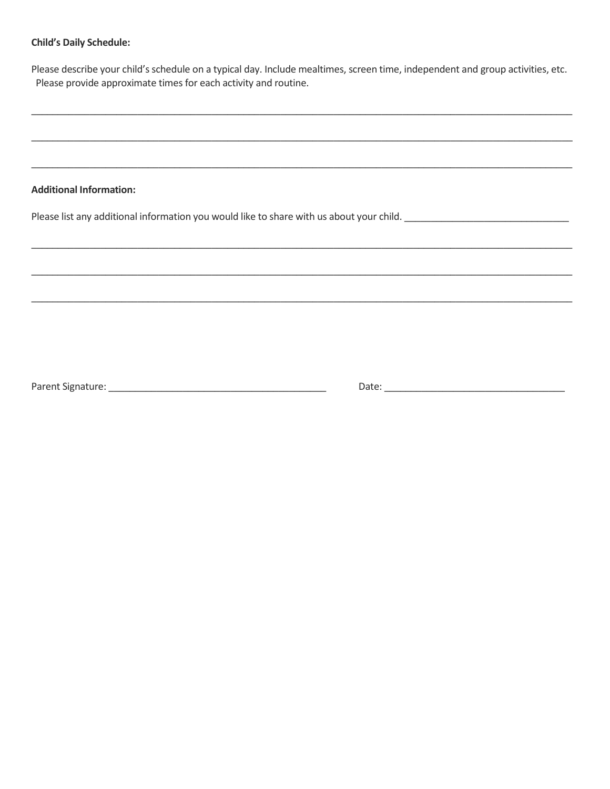#### **Child's Daily Schedule:**

Please describe your child's schedule on a typical day. Include mealtimes, screen time, independent and group activities, etc. Please provide approximate times for each activity and routine.

#### **Additional Information:**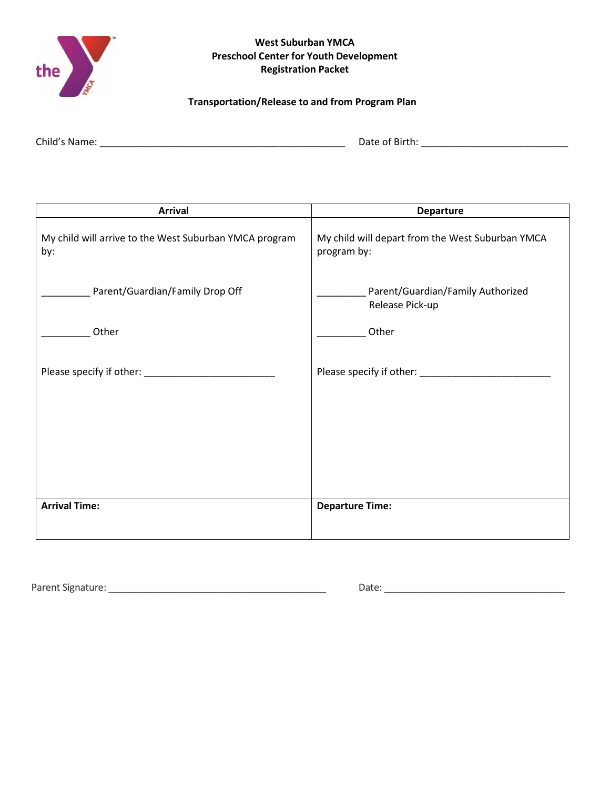

# **Transportation/Release to and from Program Plan**

| Child's Name: | Date of Birth: |
|---------------|----------------|
|               |                |

| <b>Arrival</b>                                                | <b>Departure</b>                                                |
|---------------------------------------------------------------|-----------------------------------------------------------------|
| My child will arrive to the West Suburban YMCA program<br>by: | My child will depart from the West Suburban YMCA<br>program by: |
| Parent/Guardian/Family Drop Off                               | Parent/Guardian/Family Authorized<br>Release Pick-up            |
| Other                                                         | Other                                                           |
|                                                               |                                                                 |
| Please specify if other: ___________                          | Please specify if other: _________                              |
|                                                               |                                                                 |
|                                                               |                                                                 |
|                                                               |                                                                 |
|                                                               |                                                                 |
|                                                               |                                                                 |
| <b>Arrival Time:</b>                                          | <b>Departure Time:</b>                                          |
|                                                               |                                                                 |

Parent Signature: \_\_\_\_\_\_\_\_\_\_\_\_\_\_\_\_\_\_\_\_\_\_\_\_\_\_\_\_\_\_\_\_\_\_\_\_\_\_\_\_\_ Date: \_\_\_\_\_\_\_\_\_\_\_\_\_\_\_\_\_\_\_\_\_\_\_\_\_\_\_\_\_\_\_\_\_\_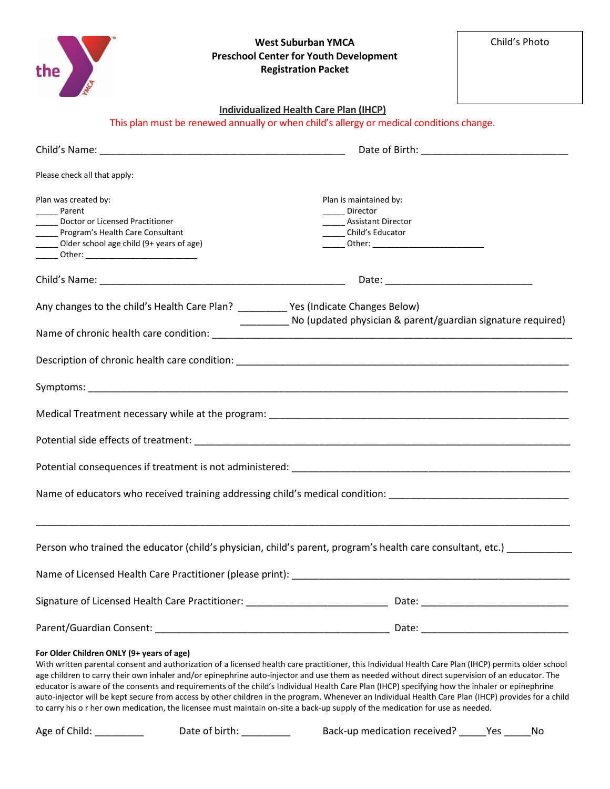| the                                                                                                                                                                                                                                                                                                                                                                                                                                                                                                                                                                                                                                                                                                                                                                                           | <b>West Suburban YMCA</b><br><b>Preschool Center for Youth Development</b><br><b>Registration Packet</b> | Child's Photo |
|-----------------------------------------------------------------------------------------------------------------------------------------------------------------------------------------------------------------------------------------------------------------------------------------------------------------------------------------------------------------------------------------------------------------------------------------------------------------------------------------------------------------------------------------------------------------------------------------------------------------------------------------------------------------------------------------------------------------------------------------------------------------------------------------------|----------------------------------------------------------------------------------------------------------|---------------|
|                                                                                                                                                                                                                                                                                                                                                                                                                                                                                                                                                                                                                                                                                                                                                                                               | Individualized Health Care Plan (IHCP)                                                                   |               |
|                                                                                                                                                                                                                                                                                                                                                                                                                                                                                                                                                                                                                                                                                                                                                                                               | This plan must be renewed annually or when child's allergy or medical conditions change.                 |               |
|                                                                                                                                                                                                                                                                                                                                                                                                                                                                                                                                                                                                                                                                                                                                                                                               |                                                                                                          |               |
| Please check all that apply:                                                                                                                                                                                                                                                                                                                                                                                                                                                                                                                                                                                                                                                                                                                                                                  |                                                                                                          |               |
| Plan was created by:<br>Parent<br>Doctor or Licensed Practitioner<br>_____ Program's Health Care Consultant<br>Older school age child (9+ years of age)                                                                                                                                                                                                                                                                                                                                                                                                                                                                                                                                                                                                                                       | Plan is maintained by:<br>_____ Director<br><b>Assistant Director</b><br>Child's Educator                |               |
|                                                                                                                                                                                                                                                                                                                                                                                                                                                                                                                                                                                                                                                                                                                                                                                               |                                                                                                          |               |
| Any changes to the child's Health Care Plan? ______________Yes (Indicate Changes Below)                                                                                                                                                                                                                                                                                                                                                                                                                                                                                                                                                                                                                                                                                                       | ___________ No (updated physician & parent/guardian signature required)                                  |               |
|                                                                                                                                                                                                                                                                                                                                                                                                                                                                                                                                                                                                                                                                                                                                                                                               |                                                                                                          |               |
|                                                                                                                                                                                                                                                                                                                                                                                                                                                                                                                                                                                                                                                                                                                                                                                               |                                                                                                          |               |
|                                                                                                                                                                                                                                                                                                                                                                                                                                                                                                                                                                                                                                                                                                                                                                                               |                                                                                                          |               |
|                                                                                                                                                                                                                                                                                                                                                                                                                                                                                                                                                                                                                                                                                                                                                                                               |                                                                                                          |               |
|                                                                                                                                                                                                                                                                                                                                                                                                                                                                                                                                                                                                                                                                                                                                                                                               |                                                                                                          |               |
| Potential consequences if treatment is not administered:                                                                                                                                                                                                                                                                                                                                                                                                                                                                                                                                                                                                                                                                                                                                      |                                                                                                          |               |
| Name of educators who received training addressing child's medical condition: ________________________________                                                                                                                                                                                                                                                                                                                                                                                                                                                                                                                                                                                                                                                                                |                                                                                                          |               |
| Person who trained the educator (child's physician, child's parent, program's health care consultant, etc.) __________                                                                                                                                                                                                                                                                                                                                                                                                                                                                                                                                                                                                                                                                        |                                                                                                          |               |
|                                                                                                                                                                                                                                                                                                                                                                                                                                                                                                                                                                                                                                                                                                                                                                                               |                                                                                                          |               |
|                                                                                                                                                                                                                                                                                                                                                                                                                                                                                                                                                                                                                                                                                                                                                                                               |                                                                                                          |               |
|                                                                                                                                                                                                                                                                                                                                                                                                                                                                                                                                                                                                                                                                                                                                                                                               |                                                                                                          |               |
| For Older Children ONLY (9+ years of age)<br>With written parental consent and authorization of a licensed health care practitioner, this Individual Health Care Plan (IHCP) permits older school<br>age children to carry their own inhaler and/or epinephrine auto-injector and use them as needed without direct supervision of an educator. The<br>educator is aware of the consents and requirements of the child's Individual Health Care Plan (IHCP) specifying how the inhaler or epinephrine<br>auto-injector will be kept secure from access by other children in the program. Whenever an Individual Health Care Plan (IHCP) provides for a child<br>to carry his o r her own medication, the licensee must maintain on-site a back-up supply of the medication for use as needed. |                                                                                                          |               |
| Age of Child: __________<br>Date of birth: __________                                                                                                                                                                                                                                                                                                                                                                                                                                                                                                                                                                                                                                                                                                                                         | Back-up medication received? _____ Yes ______ No                                                         |               |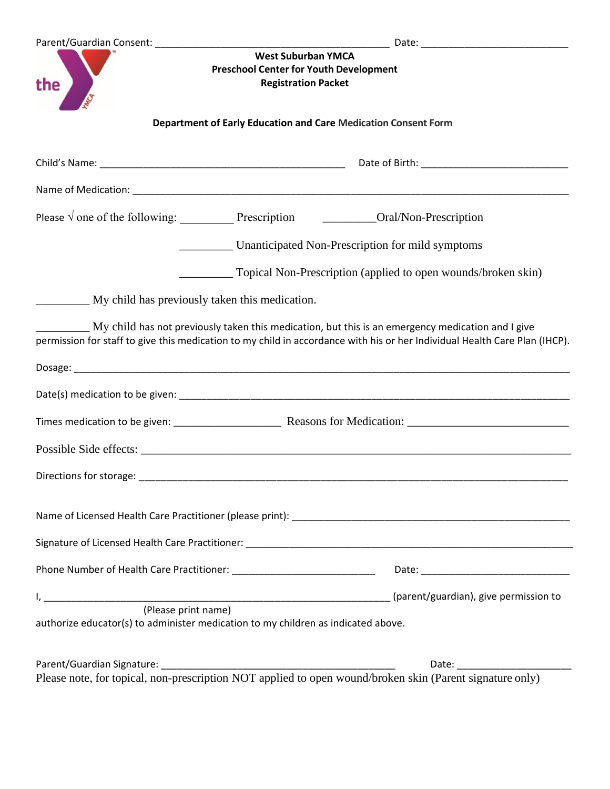| the                                                                                                      | West Suburban YMCA<br><b>Preschool Center for Youth Development</b><br><b>Registration Packet</b> |                                                                                                                                                                                                                                 |  |
|----------------------------------------------------------------------------------------------------------|---------------------------------------------------------------------------------------------------|---------------------------------------------------------------------------------------------------------------------------------------------------------------------------------------------------------------------------------|--|
|                                                                                                          | Department of Early Education and Care Medication Consent Form                                    |                                                                                                                                                                                                                                 |  |
|                                                                                                          |                                                                                                   |                                                                                                                                                                                                                                 |  |
|                                                                                                          |                                                                                                   |                                                                                                                                                                                                                                 |  |
| Please $\sqrt{ }$ one of the following: Prescription Prescription Prescription                           |                                                                                                   |                                                                                                                                                                                                                                 |  |
|                                                                                                          |                                                                                                   | Unanticipated Non-Prescription for mild symptoms                                                                                                                                                                                |  |
|                                                                                                          |                                                                                                   | Topical Non-Prescription (applied to open wounds/broken skin)                                                                                                                                                                   |  |
| My child has previously taken this medication.                                                           |                                                                                                   |                                                                                                                                                                                                                                 |  |
|                                                                                                          |                                                                                                   | My child has not previously taken this medication, but this is an emergency medication and I give<br>permission for staff to give this medication to my child in accordance with his or her Individual Health Care Plan (IHCP). |  |
|                                                                                                          |                                                                                                   |                                                                                                                                                                                                                                 |  |
|                                                                                                          |                                                                                                   |                                                                                                                                                                                                                                 |  |
|                                                                                                          |                                                                                                   |                                                                                                                                                                                                                                 |  |
|                                                                                                          |                                                                                                   |                                                                                                                                                                                                                                 |  |
| Directions for storage:                                                                                  |                                                                                                   |                                                                                                                                                                                                                                 |  |
|                                                                                                          |                                                                                                   |                                                                                                                                                                                                                                 |  |
|                                                                                                          |                                                                                                   |                                                                                                                                                                                                                                 |  |
|                                                                                                          |                                                                                                   |                                                                                                                                                                                                                                 |  |
|                                                                                                          |                                                                                                   |                                                                                                                                                                                                                                 |  |
| (Please print name)<br>authorize educator(s) to administer medication to my children as indicated above. |                                                                                                   |                                                                                                                                                                                                                                 |  |
|                                                                                                          |                                                                                                   | Please note, for topical, non-prescription NOT applied to open wound/broken skin (Parent signature only)                                                                                                                        |  |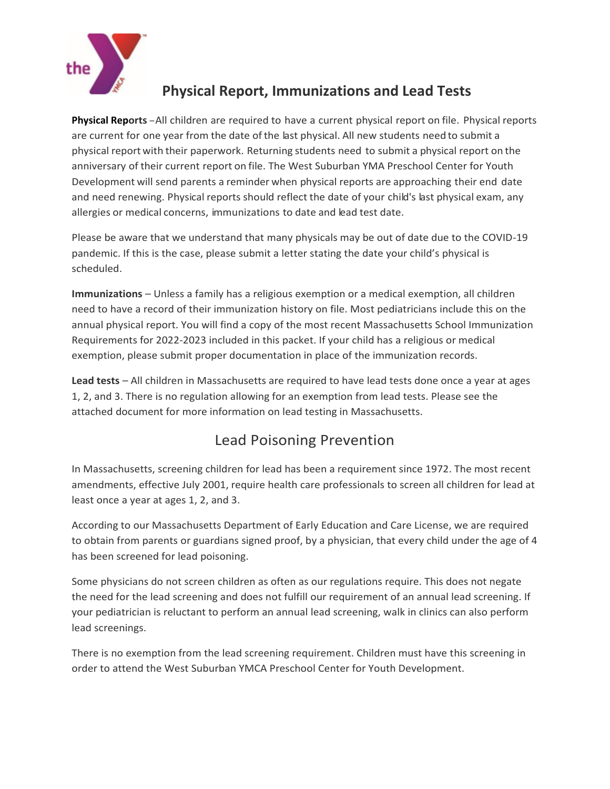

# **Physical Report, Immunizations and Lead Tests**

**Physical Reports**-All children are required to have <sup>a</sup> current physical report on file. Physical reports are current for one year from the date of the last physical. All new students need to submit a physical report with their paperwork. Returning students need to submit a physical report on the anniversary of their current report on file. The West Suburban YMA Preschool Center for Youth Development will send parents a reminder when physical reports are approaching their end date and need renewing. Physical reports should reflect the date of your child's last physical exam, any allergies or medical concerns, immunizations to date and lead test date.

Please be aware that we understand that many physicals may be out of date due to the COVID-19 pandemic. If this is the case, please submit a letter stating the date your child's physical is scheduled.

**Immunizations** – Unless a family has a religious exemption or a medical exemption, all children need to have a record of their immunization history on file. Most pediatricians include this on the annual physical report. You will find a copy of the most recent Massachusetts School Immunization Requirements for 2022-2023 included in this packet. If your child has a religious or medical exemption, please submit proper documentation in place of the immunization records.

**Lead tests** – All children in Massachusetts are required to have lead tests done once a year at ages 1, 2, and 3. There is no regulation allowing for an exemption from lead tests. Please see the attached document for more information on lead testing in Massachusetts.

# Lead Poisoning Prevention

In Massachusetts, screening children for lead has been a requirement since 1972. The most recent amendments, effective July 2001, require health care professionals to screen all children for lead at least once a year at ages 1, 2, and 3.

According to our Massachusetts Department of Early Education and Care License, we are required to obtain from parents or guardians signed proof, by a physician, that every child under the age of 4 has been screened for lead poisoning.

Some physicians do not screen children as often as our regulations require. This does not negate the need for the lead screening and does not fulfill our requirement of an annual lead screening. If your pediatrician is reluctant to perform an annual lead screening, walk in clinics can also perform lead screenings.

There is no exemption from the lead screening requirement. Children must have this screening in order to attend the West Suburban YMCA Preschool Center for Youth Development.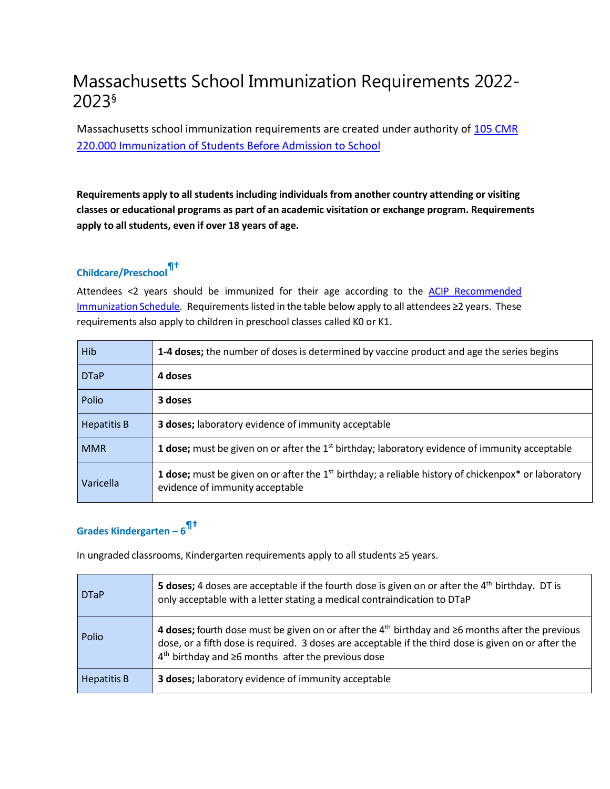# Massachusetts School Immunization Requirements 2022- 2023§

Massachusetts school immunization requirements are created under authority of 105 CMR [220.000 Immunization of Students Before Admission to School](https://www.mass.gov/regulations/105-CMR-22000-immunization-of-students-before-admission-to-school)

**Requirements apply to all students including individuals from another country attending or visiting classes or educational programs as part of an academic visitation or exchange program. Requirements apply to all students, even if over 18 years of age.**

# **Childcare/Preschool¶†**

Attendees <2 years should be immunized for their age according to the ACIP [Recommended](https://www.cdc.gov/vaccines/schedules/index.html) [Immunization](https://www.cdc.gov/vaccines/schedules/index.html) Schedule. Requirements listed in the table below apply to all attendees ≥2 years. These requirements also apply to children in preschool classes called K0 or K1.

| <b>Hib</b>         | 1-4 doses; the number of doses is determined by vaccine product and age the series begins                                                                   |
|--------------------|-------------------------------------------------------------------------------------------------------------------------------------------------------------|
| <b>DTaP</b>        | 4 doses                                                                                                                                                     |
| Polio              | 3 doses                                                                                                                                                     |
| <b>Hepatitis B</b> | 3 doses; laboratory evidence of immunity acceptable                                                                                                         |
| <b>MMR</b>         | <b>1 dose;</b> must be given on or after the $1st$ birthday; laboratory evidence of immunity acceptable                                                     |
| Varicella          | <b>1 dose;</b> must be given on or after the $1st$ birthday; a reliable history of chickenpox <sup>*</sup> or laboratory<br>evidence of immunity acceptable |

# **Grades Kindergarten – 6 ¶†**

In ungraded classrooms, Kindergarten requirements apply to all students ≥5 years.

| <b>DTaP</b>        | <b>5 doses;</b> 4 doses are acceptable if the fourth dose is given on or after the $4th$ birthday. DT is<br>only acceptable with a letter stating a medical contraindication to DTaP                                                                                           |
|--------------------|--------------------------------------------------------------------------------------------------------------------------------------------------------------------------------------------------------------------------------------------------------------------------------|
| Polio              | 4 doses; fourth dose must be given on or after the $4th$ birthday and $\geq 6$ months after the previous<br>dose, or a fifth dose is required. 3 doses are acceptable if the third dose is given on or after the<br>$4th$ birthday and $\geq 6$ months after the previous dose |
| <b>Hepatitis B</b> | 3 doses; laboratory evidence of immunity acceptable                                                                                                                                                                                                                            |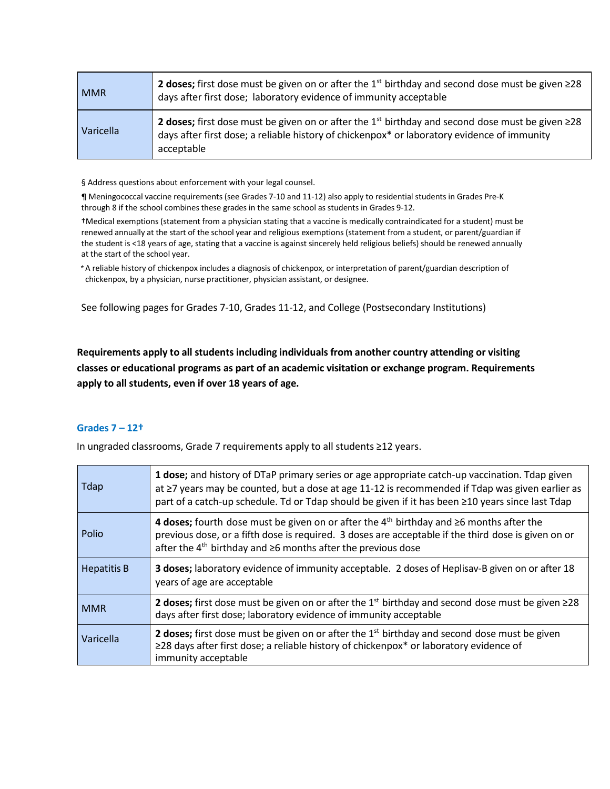| <b>MMR</b> | <b>2 doses;</b> first dose must be given on or after the 1 <sup>st</sup> birthday and second dose must be given $\geq$ 28<br>days after first dose; laboratory evidence of immunity acceptable                                         |
|------------|----------------------------------------------------------------------------------------------------------------------------------------------------------------------------------------------------------------------------------------|
| Varicella  | <b>2 doses;</b> first dose must be given on or after the 1 <sup>st</sup> birthday and second dose must be given $\geq$ 28<br>days after first dose; a reliable history of chickenpox* or laboratory evidence of immunity<br>acceptable |

§ Address questions about enforcement with your legal counsel.

¶ Meningococcal vaccine requirements (see Grades 7-10 and 11-12) also apply to residential students in Grades Pre-K through 8 if the school combines these grades in the same school as students in Grades 9-12.

†Medical exemptions (statement from a physician stating that a vaccine is medically contraindicated for a student) must be renewed annually at the start of the school year and religious exemptions (statement from a student, or parent/guardian if the student is <18 years of age, stating that a vaccine is against sincerely held religious beliefs) should be renewed annually at the start of the school year.

\*A reliable history of chickenpox includes a diagnosis of chickenpox, or interpretation of parent/guardian description of chickenpox, by a physician, nurse practitioner, physician assistant, or designee.

See following pages for Grades 7-10, Grades 11-12, and College (Postsecondary Institutions)

**Requirements apply to all students including individuals from another country attending or visiting classes or educational programs as part of an academic visitation or exchange program. Requirements apply to all students, even if over 18 years of age.**

### **Grades 7 – 12†**

In ungraded classrooms, Grade 7 requirements apply to all students ≥12 years.

| Tdap               | 1 dose; and history of DTaP primary series or age appropriate catch-up vaccination. Tdap given<br>at ≥7 years may be counted, but a dose at age 11-12 is recommended if Tdap was given earlier as<br>part of a catch-up schedule. Td or Tdap should be given if it has been ≥10 years since last Tdap |  |
|--------------------|-------------------------------------------------------------------------------------------------------------------------------------------------------------------------------------------------------------------------------------------------------------------------------------------------------|--|
| Polio              | 4 doses; fourth dose must be given on or after the $4th$ birthday and $\geq$ 6 months after the<br>previous dose, or a fifth dose is required. 3 doses are acceptable if the third dose is given on or<br>after the $4^{th}$ birthday and $\geq 6$ months after the previous dose                     |  |
| <b>Hepatitis B</b> | 3 doses; laboratory evidence of immunity acceptable. 2 doses of Heplisav-B given on or after 18<br>years of age are acceptable                                                                                                                                                                        |  |
| <b>MMR</b>         | <b>2 doses;</b> first dose must be given on or after the 1 <sup>st</sup> birthday and second dose must be given $\geq$ 28<br>days after first dose; laboratory evidence of immunity acceptable                                                                                                        |  |
| Varicella          | 2 doses; first dose must be given on or after the $1st$ birthday and second dose must be given<br>≥28 days after first dose; a reliable history of chickenpox* or laboratory evidence of<br>immunity acceptable                                                                                       |  |